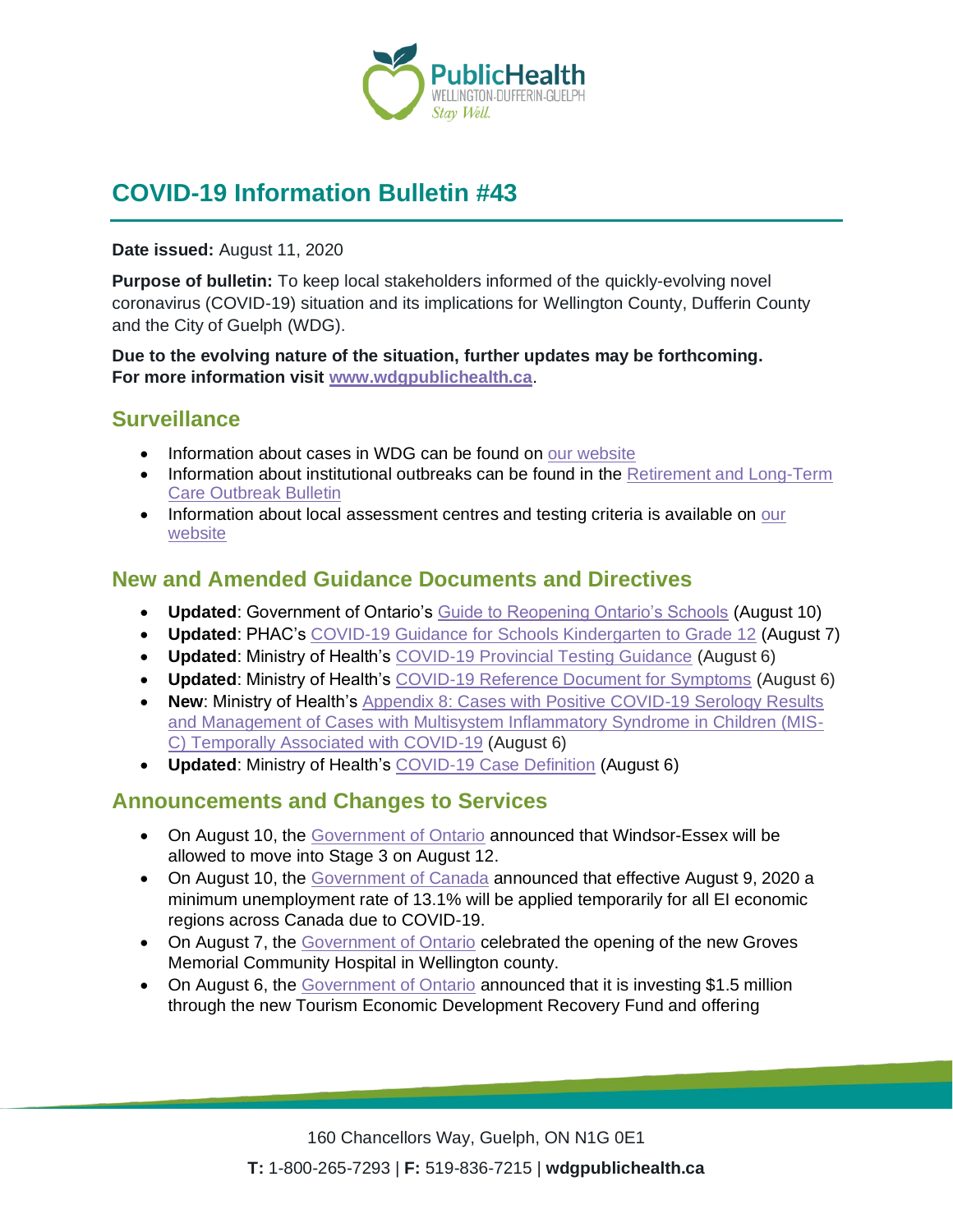

# **COVID-19 Information Bulletin #43**

**Date issued:** August 11, 2020

**Purpose of bulletin:** To keep local stakeholders informed of the quickly-evolving novel coronavirus (COVID-19) situation and its implications for Wellington County, Dufferin County and the City of Guelph (WDG).

**Due to the evolving nature of the situation, further updates may be forthcoming. For more information visit [www.wdgpublichealth.ca](http://www.wdgpublichealth.ca/)**.

# **Surveillance**

- Information about cases in WDG can be found on [our website](https://wdgpublichealth.ca/your-health/covid-19-information-public/status-cases-wdg)
- Information about institutional outbreaks can be found in the Retirement and Long-Term [Care Outbreak Bulletin](https://wdgpublichealth.ca/node/1542)
- Information about local assessment centres and testing criteria is available on our [website](https://www.wdgpublichealth.ca/your-health/covid-19-information-public/assessment-centres-wdg)

# **New and Amended Guidance Documents and Directives**

- **Updated**: Government of Ontario's [Guide to Reopening Ontario's Schools](https://www.ontario.ca/page/guide-reopening-ontarios-schools?share=df1f50a0-d1a2-11ea-8b1a-e3b1c683b5f9&_ga=2.107722626.1037343092.1595876661-1123331746.1579028832) (August 10)
- **Updated**: PHAC's [COVID-19 Guidance for Schools Kindergarten to Grade 12](https://www.canada.ca/en/public-health/services/diseases/2019-novel-coronavirus-infection/health-professionals/guidance-schools-childcare-programs.html) (August 7)
- **Updated**: Ministry of Health's [COVID-19 Provincial Testing Guidance](http://www.health.gov.on.ca/en/pro/programs/publichealth/coronavirus/docs/2019_covid_testing_guidance.pdf) (August 6)
- **Updated**: Ministry of Health's [COVID-19 Reference Document for Symptoms](http://www.health.gov.on.ca/en/pro/programs/publichealth/coronavirus/docs/2019_reference_doc_symptoms.pdf) (August 6)
- **New: Ministry of Health's** Appendix 8: Cases with Positive COVID-19 Serology Results [and Management of Cases with Multisystem Inflammatory Syndrome in Children \(MIS-](http://www.health.gov.on.ca/en/pro/programs/publichealth/coronavirus/docs/contact_mngmt/app_8_serology_results.pdf)[C\) Temporally Associated with COVID-19](http://www.health.gov.on.ca/en/pro/programs/publichealth/coronavirus/docs/contact_mngmt/app_8_serology_results.pdf) (August 6)
- **Updated**: Ministry of Health's [COVID-19 Case Definition](http://www.health.gov.on.ca/en/pro/programs/publichealth/coronavirus/docs/2019_case_definition.pdf) (August 6)

### **Announcements and Changes to Services**

- On August 10, the [Government of Ontario](https://news.ontario.ca/opo/en/2020/08/windsor-essex-to-join-the-rest-of-province-in-stage-3.html) announced that Windsor-Essex will be allowed to move into Stage 3 on August 12.
- On August 10, the [Government of Canada](https://www.canada.ca/en/employment-social-development/news/2020/08/government-of-canada-temporarily-sets-a-minimum-unemployment-rate-for-the-employment-insurance-program.html) announced that effective August 9, 2020 a minimum unemployment rate of 13.1% will be applied temporarily for all EI economic regions across Canada due to COVID-19.
- On August 7, the [Government of Ontario](https://news.ontario.ca/mohltc/en/2020/08/ontario-celebrates-groves-memorial-community-hospitals-grand-opening.html) celebrated the opening of the new Groves Memorial Community Hospital in Wellington county.
- On August 6, the [Government of Ontario](https://news.ontario.ca/mtc/en/2020/08/investing-in-the-future-of-ontarios-tourism-industry.html) announced that it is investing \$1.5 million through the new Tourism Economic Development Recovery Fund and offering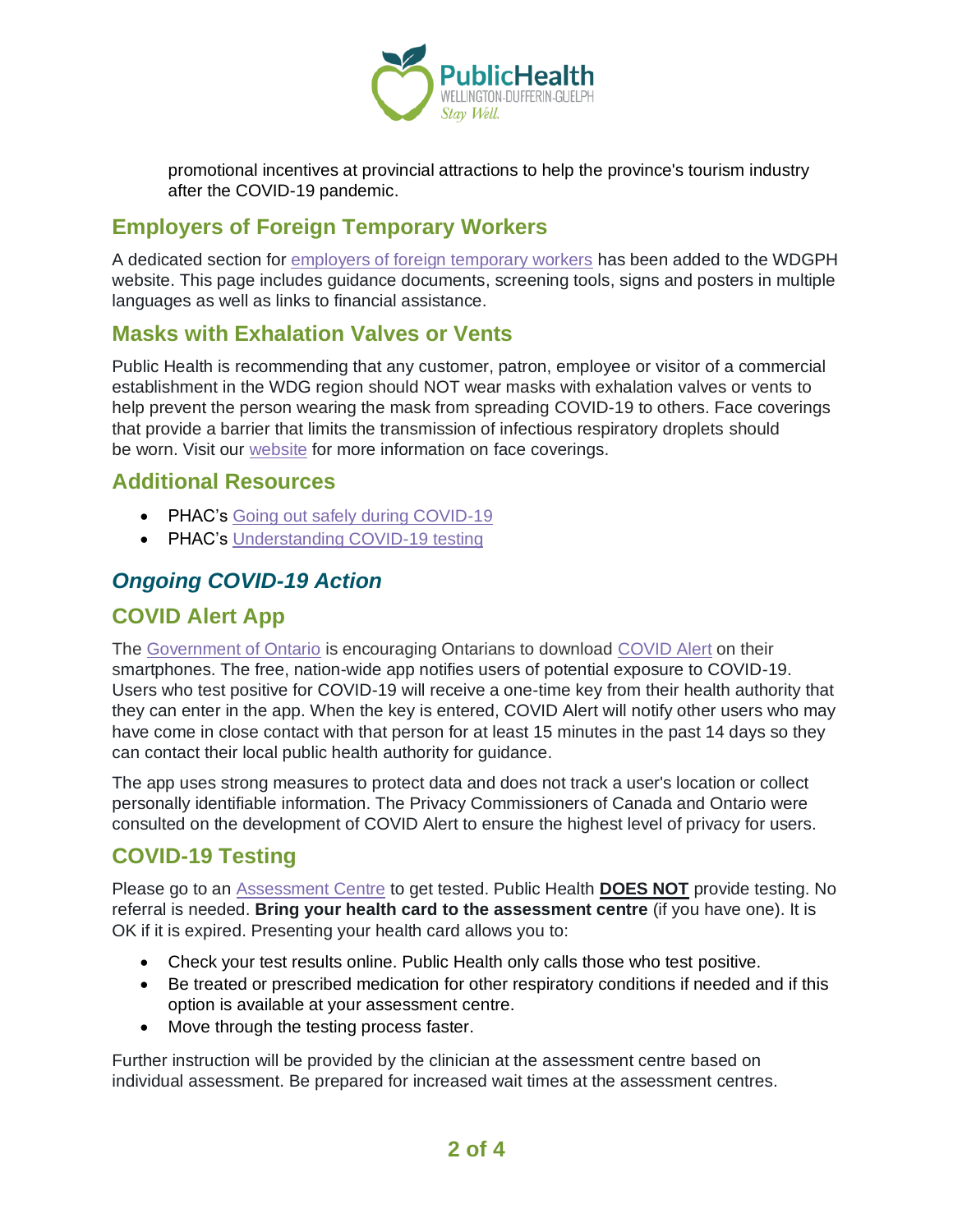

promotional incentives at provincial attractions to help the province's tourism industry after the COVID-19 pandemic.

### **Employers of Foreign Temporary Workers**

A dedicated section for [employers of foreign temporary workers](https://www.wdgpublichealth.ca/your-health/covid-19-information-workplaces-and-living-spaces/employers-temporary-foreign-workers) has been added to the WDGPH website. This page includes guidance documents, screening tools, signs and posters in multiple languages as well as links to financial assistance.

#### **Masks with Exhalation Valves or Vents**

Public Health is recommending that any customer, patron, employee or visitor of a commercial establishment in the WDG region should NOT wear masks with exhalation valves or vents to help prevent the person wearing the mask from spreading COVID-19 to others. Face coverings that provide a barrier that limits the transmission of infectious respiratory droplets should be worn. Visit our [website](https://www.wdgpublichealth.ca/your-health/covid-19-information-public/face-coverings-class-order-and-faqs) for more information on face coverings.

#### **Additional Resources**

- PHAC's [Going out safely during COVID-19](https://www.canada.ca/en/public-health/services/publications/diseases-conditions/covid-19-going-out-safely.html)
- PHAC's [Understanding COVID-19 testing](https://www.canada.ca/en/public-health/services/publications/diseases-conditions/understanding-covid-19-testing.html)

### *Ongoing COVID-19 Action*

## **COVID Alert App**

The [Government of Ontario](https://news.ontario.ca/opo/en/2020/07/covid-alert-available-for-download-beginning-today.html) is encouraging Ontarians to download [COVID Alert](https://covid-19.ontario.ca/covidalert?_ga=2.68068817.1702415536.1596548534-1123331746.1579028832) on their smartphones. The free, nation-wide app notifies users of potential exposure to COVID-19. Users who test positive for COVID-19 will receive a one-time key from their health authority that they can enter in the app. When the key is entered, COVID Alert will notify other users who may have come in close contact with that person for at least 15 minutes in the past 14 days so they can contact their local public health authority for guidance.

The app uses strong measures to protect data and does not track a user's location or collect personally identifiable information. The Privacy Commissioners of Canada and Ontario were consulted on the development of COVID Alert to ensure the highest level of privacy for users.

# **COVID-19 Testing**

Please go to an [Assessment Centre](https://wdgpublichealth.ca/your-health/covid-19-information-public/assessment-centres-wdg) to get tested. Public Health **DOES NOT** provide testing. No referral is needed. **Bring your health card to the assessment centre** (if you have one). It is OK if it is expired. Presenting your health card allows you to:

- Check your test results online. Public Health only calls those who test positive.
- Be treated or prescribed medication for other respiratory conditions if needed and if this option is available at your assessment centre.
- Move through the testing process faster.

Further instruction will be provided by the clinician at the assessment centre based on individual assessment. Be prepared for increased wait times at the assessment centres.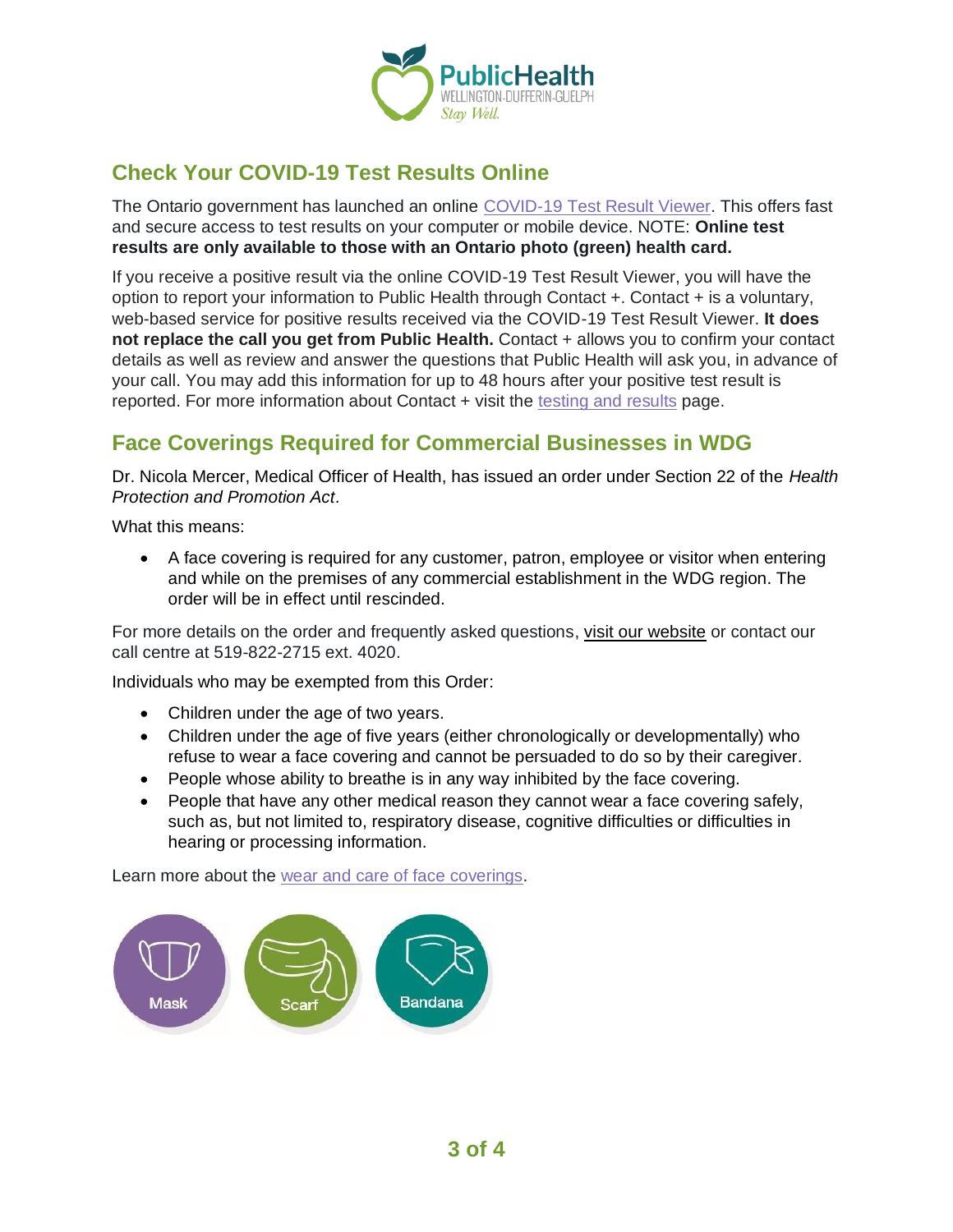

# **Check Your COVID-19 Test Results Online**

The Ontario government has launched an online [COVID-19 Test Result Viewer.](https://covid19results.ehealthontario.ca:4443/agree) This offers fast and secure access to test results on your computer or mobile device. NOTE: **Online test results are only available to those with an Ontario photo (green) health card.**

If you receive a positive result via the online COVID-19 Test Result Viewer, you will have the option to report your information to Public Health through Contact +. Contact + is a voluntary, web-based service for positive results received via the COVID-19 Test Result Viewer. **It does not replace the call you get from Public Health.** Contact + allows you to confirm your contact details as well as review and answer the questions that Public Health will ask you, in advance of your call. You may add this information for up to 48 hours after your positive test result is reported. For more information about Contact + visit the [testing and results](https://www.wdgpublichealth.ca/your-health/covid-19-information-public/testing-and-results) page.

# **Face Coverings Required for Commercial Businesses in WDG**

Dr. Nicola Mercer, Medical Officer of Health, has issued an order under Section 22 of the *Health Protection and Promotion Act*.

What this means:

• A face covering is required for any customer, patron, employee or visitor when entering and while on the premises of any commercial establishment in the WDG region. The order will be in effect until rescinded.

For more details on the order and frequently asked questions, [visit our website](https://www.wdgpublichealth.ca/your-health/covid-19-information-public/face-coverings-class-order-and-faqs) or contact our call centre at 519-822-2715 ext. 4020.

Individuals who may be exempted from this Order:

- Children under the age of two years.
- Children under the age of five years (either chronologically or developmentally) who refuse to wear a face covering and cannot be persuaded to do so by their caregiver.
- People whose ability to breathe is in any way inhibited by the face covering.
- People that have any other medical reason they cannot wear a face covering safely, such as, but not limited to, respiratory disease, cognitive difficulties or difficulties in hearing or processing information.

Learn more about the [wear and care of face coverings.](https://www.wdgpublichealth.ca/your-health/covid-19-information-public/face-coverings-class-order-and-faqs/wear-and-care-face)